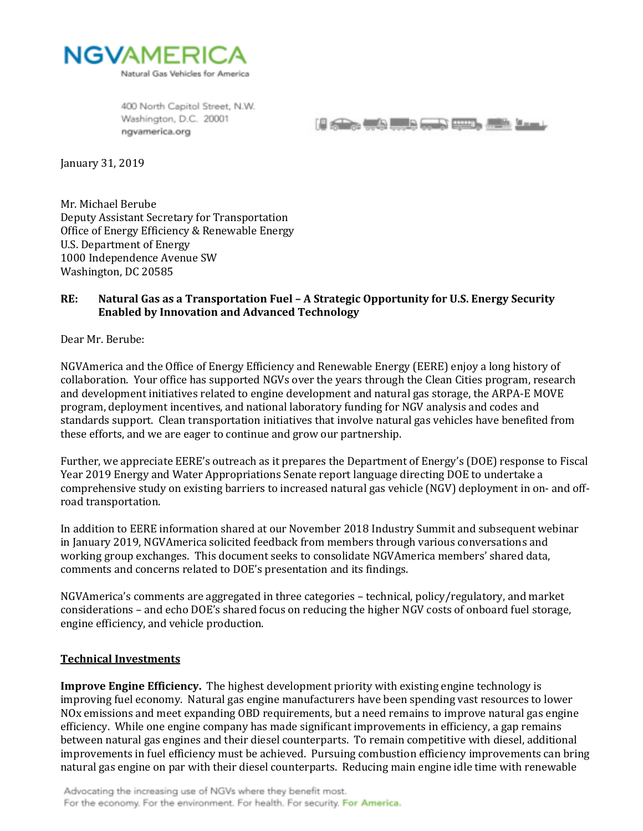

400 North Capitol Street, N.W. Washington, D.C. 20001 ngvamerica.org

**PERSONAL PROPERTY COMPANY** 

January 31, 2019

Mr. Michael Berube Deputy Assistant Secretary for Transportation Office of Energy Efficiency & Renewable Energy U.S. Department of Energy 1000 Independence Avenue SW Washington, DC 20585

### **RE: Natural Gas as a Transportation Fuel – A Strategic Opportunity for U.S. Energy Security Enabled by Innovation and Advanced Technology**

Dear Mr. Berube:

NGVAmerica and the Office of Energy Efficiency and Renewable Energy (EERE) enjoy a long history of collaboration. Your office has supported NGVs over the years through the Clean Cities program, research and development initiatives related to engine development and natural gas storage, the ARPA-E MOVE program, deployment incentives, and national laboratory funding for NGV analysis and codes and standards support. Clean transportation initiatives that involve natural gas vehicles have benefited from these efforts, and we are eager to continue and grow our partnership.

Further, we appreciate EERE's outreach as it prepares the Department of Energy's (DOE) response to Fiscal Year 2019 Energy and Water Appropriations Senate report language directing DOE to undertake a comprehensive study on existing barriers to increased natural gas vehicle (NGV) deployment in on- and offroad transportation.

In addition to EERE information shared at our November 2018 Industry Summit and subsequent webinar in January 2019, NGVAmerica solicited feedback from members through various conversations and working group exchanges. This document seeks to consolidate NGVAmerica members' shared data, comments and concerns related to DOE's presentation and its findings.

NGVAmerica's comments are aggregated in three categories – technical, policy/regulatory, and market considerations – and echo DOE's shared focus on reducing the higher NGV costs of onboard fuel storage, engine efficiency, and vehicle production.

#### **Technical Investments**

**Improve Engine Efficiency.** The highest development priority with existing engine technology is improving fuel economy. Natural gas engine manufacturers have been spending vast resources to lower NOx emissions and meet expanding OBD requirements, but a need remains to improve natural gas engine efficiency. While one engine company has made significant improvements in efficiency, a gap remains between natural gas engines and their diesel counterparts. To remain competitive with diesel, additional improvements in fuel efficiency must be achieved. Pursuing combustion efficiency improvements can bring natural gas engine on par with their diesel counterparts. Reducing main engine idle time with renewable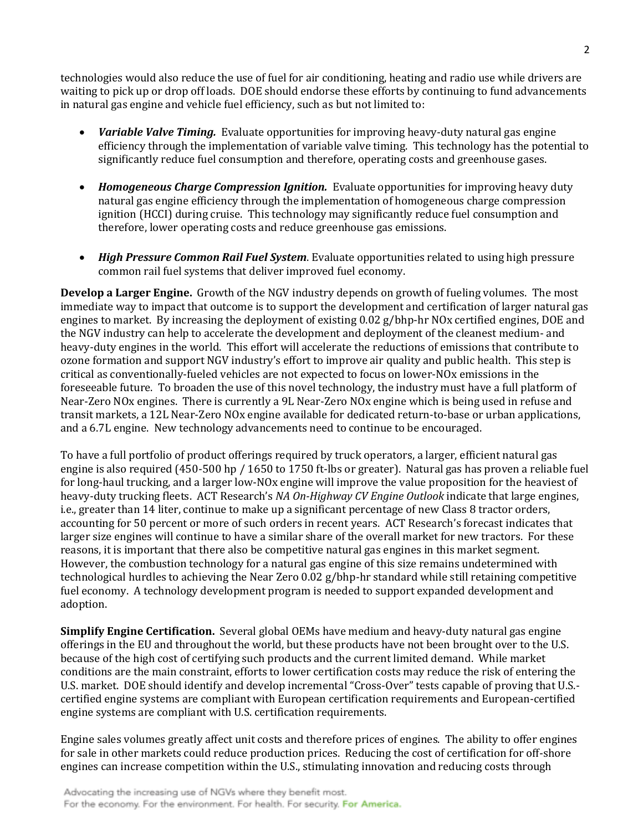technologies would also reduce the use of fuel for air conditioning, heating and radio use while drivers are waiting to pick up or drop off loads. DOE should endorse these efforts by continuing to fund advancements in natural gas engine and vehicle fuel efficiency, such as but not limited to:

- *Variable Valve Timing.* Evaluate opportunities for improving heavy-duty natural gas engine efficiency through the implementation of variable valve timing. This technology has the potential to significantly reduce fuel consumption and therefore, operating costs and greenhouse gases.
- *Homogeneous Charge Compression Ignition.* Evaluate opportunities for improving heavy duty natural gas engine efficiency through the implementation of homogeneous charge compression ignition (HCCI) during cruise. This technology may significantly reduce fuel consumption and therefore, lower operating costs and reduce greenhouse gas emissions.
- *High Pressure Common Rail Fuel System*. Evaluate opportunities related to using high pressure common rail fuel systems that deliver improved fuel economy.

**Develop a Larger Engine.** Growth of the NGV industry depends on growth of fueling volumes. The most immediate way to impact that outcome is to support the development and certification of larger natural gas engines to market. By increasing the deployment of existing 0.02 g/bhp-hr NOx certified engines, DOE and the NGV industry can help to accelerate the development and deployment of the cleanest medium- and heavy-duty engines in the world. This effort will accelerate the reductions of emissions that contribute to ozone formation and support NGV industry's effort to improve air quality and public health. This step is critical as conventionally-fueled vehicles are not expected to focus on lower-NOx emissions in the foreseeable future. To broaden the use of this novel technology, the industry must have a full platform of Near-Zero NOx engines. There is currently a 9L Near-Zero NOx engine which is being used in refuse and transit markets, a 12L Near-Zero NOx engine available for dedicated return-to-base or urban applications, and a 6.7L engine. New technology advancements need to continue to be encouraged.

To have a full portfolio of product offerings required by truck operators, a larger, efficient natural gas engine is also required (450-500 hp / 1650 to 1750 ft-lbs or greater). Natural gas has proven a reliable fuel for long-haul trucking, and a larger low-NOx engine will improve the value proposition for the heaviest of heavy-duty trucking fleets. ACT Research's *NA On-Highway CV Engine Outlook* indicate that large engines, i.e., greater than 14 liter, continue to make up a significant percentage of new Class 8 tractor orders, accounting for 50 percent or more of such orders in recent years. ACT Research's forecast indicates that larger size engines will continue to have a similar share of the overall market for new tractors. For these reasons, it is important that there also be competitive natural gas engines in this market segment. However, the combustion technology for a natural gas engine of this size remains undetermined with technological hurdles to achieving the Near Zero 0.02 g/bhp-hr standard while still retaining competitive fuel economy. A technology development program is needed to support expanded development and adoption.

**Simplify Engine Certification.** Several global OEMs have medium and heavy-duty natural gas engine offerings in the EU and throughout the world, but these products have not been brought over to the U.S. because of the high cost of certifying such products and the current limited demand. While market conditions are the main constraint, efforts to lower certification costs may reduce the risk of entering the U.S. market. DOE should identify and develop incremental "Cross-Over" tests capable of proving that U.S. certified engine systems are compliant with European certification requirements and European-certified engine systems are compliant with U.S. certification requirements.

Engine sales volumes greatly affect unit costs and therefore prices of engines. The ability to offer engines for sale in other markets could reduce production prices. Reducing the cost of certification for off-shore engines can increase competition within the U.S., stimulating innovation and reducing costs through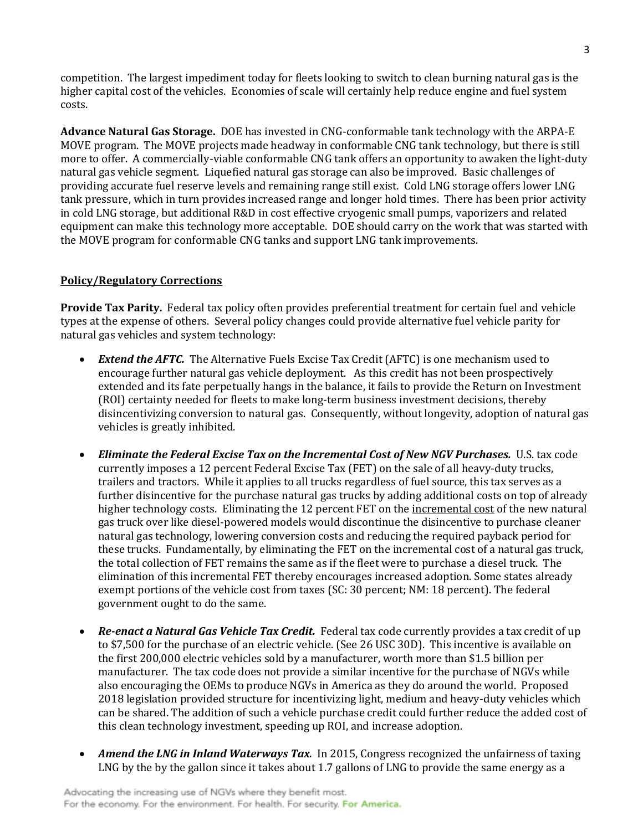competition. The largest impediment today for fleets looking to switch to clean burning natural gas is the higher capital cost of the vehicles. Economies of scale will certainly help reduce engine and fuel system costs.

**Advance Natural Gas Storage.** DOE has invested in CNG-conformable tank technology with the ARPA-E MOVE program. The MOVE projects made headway in conformable CNG tank technology, but there is still more to offer. A commercially-viable conformable CNG tank offers an opportunity to awaken the light-duty natural gas vehicle segment. Liquefied natural gas storage can also be improved. Basic challenges of providing accurate fuel reserve levels and remaining range still exist. Cold LNG storage offers lower LNG tank pressure, which in turn provides increased range and longer hold times. There has been prior activity in cold LNG storage, but additional R&D in cost effective cryogenic small pumps, vaporizers and related equipment can make this technology more acceptable. DOE should carry on the work that was started with the MOVE program for conformable CNG tanks and support LNG tank improvements.

### **Policy/Regulatory Corrections**

**Provide Tax Parity.** Federal tax policy often provides preferential treatment for certain fuel and vehicle types at the expense of others. Several policy changes could provide alternative fuel vehicle parity for natural gas vehicles and system technology:

- *Extend the AFTC.* The Alternative Fuels Excise Tax Credit (AFTC) is one mechanism used to encourage further natural gas vehicle deployment. As this credit has not been prospectively extended and its fate perpetually hangs in the balance, it fails to provide the Return on Investment (ROI) certainty needed for fleets to make long-term business investment decisions, thereby disincentivizing conversion to natural gas. Consequently, without longevity, adoption of natural gas vehicles is greatly inhibited.
- *Eliminate the Federal Excise Tax on the Incremental Cost of New NGV Purchases.* U.S. tax code currently imposes a 12 percent Federal Excise Tax (FET) on the sale of all heavy-duty trucks, trailers and tractors. While it applies to all trucks regardless of fuel source, this tax serves as a further disincentive for the purchase natural gas trucks by adding additional costs on top of already higher technology costs. Eliminating the 12 percent FET on the incremental cost of the new natural gas truck over like diesel-powered models would discontinue the disincentive to purchase cleaner natural gas technology, lowering conversion costs and reducing the required payback period for these trucks. Fundamentally, by eliminating the FET on the incremental cost of a natural gas truck, the total collection of FET remains the same as if the fleet were to purchase a diesel truck. The elimination of this incremental FET thereby encourages increased adoption. Some states already exempt portions of the vehicle cost from taxes (SC: 30 percent; NM: 18 percent). The federal government ought to do the same.
- *Re-enact a Natural Gas Vehicle Tax Credit.* Federal tax code currently provides a tax credit of up to \$7,500 for the purchase of an electric vehicle. (See 26 USC 30D). This incentive is available on the first 200,000 electric vehicles sold by a manufacturer, worth more than \$1.5 billion per manufacturer. The tax code does not provide a similar incentive for the purchase of NGVs while also encouraging the OEMs to produce NGVs in America as they do around the world. Proposed 2018 legislation provided structure for incentivizing light, medium and heavy-duty vehicles which can be shared. The addition of such a vehicle purchase credit could further reduce the added cost of this clean technology investment, speeding up ROI, and increase adoption.
- *Amend the LNG in Inland Waterways Tax.* In 2015, Congress recognized the unfairness of taxing LNG by the by the gallon since it takes about 1.7 gallons of LNG to provide the same energy as a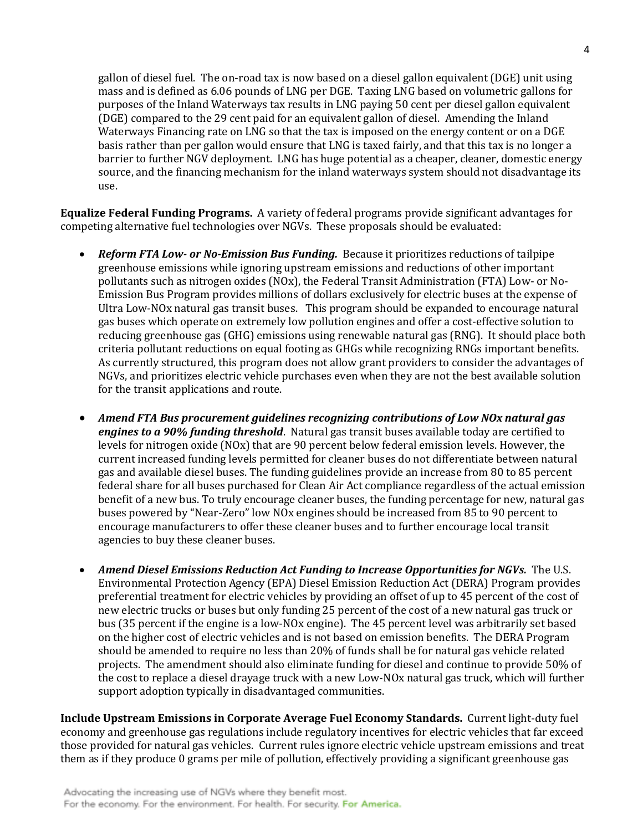gallon of diesel fuel. The on-road tax is now based on a diesel gallon equivalent (DGE) unit using mass and is defined as 6.06 pounds of LNG per DGE. Taxing LNG based on volumetric gallons for purposes of the Inland Waterways tax results in LNG paying 50 cent per diesel gallon equivalent (DGE) compared to the 29 cent paid for an equivalent gallon of diesel. Amending the Inland Waterways Financing rate on LNG so that the tax is imposed on the energy content or on a DGE basis rather than per gallon would ensure that LNG is taxed fairly, and that this tax is no longer a barrier to further NGV deployment. LNG has huge potential as a cheaper, cleaner, domestic energy source, and the financing mechanism for the inland waterways system should not disadvantage its use.

**Equalize Federal Funding Programs.** A variety of federal programs provide significant advantages for competing alternative fuel technologies over NGVs. These proposals should be evaluated:

- *Reform FTA Low- or No-Emission Bus Funding.* Because it prioritizes reductions of tailpipe greenhouse emissions while ignoring upstream emissions and reductions of other important pollutants such as nitrogen oxides (NOx), the Federal Transit Administration (FTA) Low- or No-Emission Bus Program provides millions of dollars exclusively for electric buses at the expense of Ultra Low-NOx natural gas transit buses. This program should be expanded to encourage natural gas buses which operate on extremely low pollution engines and offer a cost-effective solution to reducing greenhouse gas (GHG) emissions using renewable natural gas (RNG). It should place both criteria pollutant reductions on equal footing as GHGs while recognizing RNGs important benefits. As currently structured, this program does not allow grant providers to consider the advantages of NGVs, and prioritizes electric vehicle purchases even when they are not the best available solution for the transit applications and route.
- *Amend FTA Bus procurement guidelines recognizing contributions of Low NOx natural gas engines to a 90% funding threshold*. Natural gas transit buses available today are certified to levels for nitrogen oxide (NOx) that are 90 percent below federal emission levels. However, the current increased funding levels permitted for cleaner buses do not differentiate between natural gas and available diesel buses. The funding guidelines provide an increase from 80 to 85 percent federal share for all buses purchased for Clean Air Act compliance regardless of the actual emission benefit of a new bus. To truly encourage cleaner buses, the funding percentage for new, natural gas buses powered by "Near-Zero" low NOx engines should be increased from 85 to 90 percent to encourage manufacturers to offer these cleaner buses and to further encourage local transit agencies to buy these cleaner buses.
- Amend Diesel Emissions Reduction Act Funding to Increase Opportunities for NGVs. The U.S. Environmental Protection Agency (EPA) Diesel Emission Reduction Act (DERA) Program provides preferential treatment for electric vehicles by providing an offset of up to 45 percent of the cost of new electric trucks or buses but only funding 25 percent of the cost of a new natural gas truck or bus (35 percent if the engine is a low-NOx engine). The 45 percent level was arbitrarily set based on the higher cost of electric vehicles and is not based on emission benefits. The DERA Program should be amended to require no less than 20% of funds shall be for natural gas vehicle related projects. The amendment should also eliminate funding for diesel and continue to provide 50% of the cost to replace a diesel drayage truck with a new Low-NOx natural gas truck, which will further support adoption typically in disadvantaged communities.

**Include Upstream Emissions in Corporate Average Fuel Economy Standards.** Current light-duty fuel economy and greenhouse gas regulations include regulatory incentives for electric vehicles that far exceed those provided for natural gas vehicles. Current rules ignore electric vehicle upstream emissions and treat them as if they produce 0 grams per mile of pollution, effectively providing a significant greenhouse gas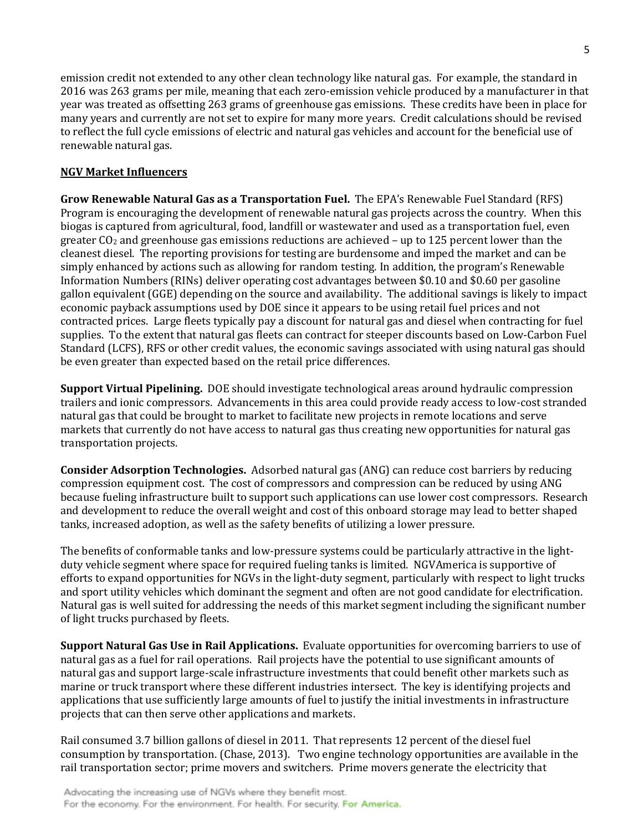emission credit not extended to any other clean technology like natural gas. For example, the standard in 2016 was 263 grams per mile, meaning that each zero-emission vehicle produced by a manufacturer in that year was treated as offsetting 263 grams of greenhouse gas emissions. These credits have been in place for many years and currently are not set to expire for many more years. Credit calculations should be revised to reflect the full cycle emissions of electric and natural gas vehicles and account for the beneficial use of renewable natural gas.

## **NGV Market Influencers**

**Grow Renewable Natural Gas as a Transportation Fuel.** The EPA's Renewable Fuel Standard (RFS) Program is encouraging the development of renewable natural gas projects across the country. When this biogas is captured from agricultural, food, landfill or wastewater and used as a transportation fuel, even greater  $CO<sub>2</sub>$  and greenhouse gas emissions reductions are achieved – up to 125 percent lower than the cleanest diesel. The reporting provisions for testing are burdensome and imped the market and can be simply enhanced by actions such as allowing for random testing. In addition, the program's Renewable Information Numbers (RINs) deliver operating cost advantages between \$0.10 and \$0.60 per gasoline gallon equivalent (GGE) depending on the source and availability. The additional savings is likely to impact economic payback assumptions used by DOE since it appears to be using retail fuel prices and not contracted prices. Large fleets typically pay a discount for natural gas and diesel when contracting for fuel supplies. To the extent that natural gas fleets can contract for steeper discounts based on Low-Carbon Fuel Standard (LCFS), RFS or other credit values, the economic savings associated with using natural gas should be even greater than expected based on the retail price differences.

**Support Virtual Pipelining.** DOE should investigate technological areas around hydraulic compression trailers and ionic compressors. Advancements in this area could provide ready access to low-cost stranded natural gas that could be brought to market to facilitate new projects in remote locations and serve markets that currently do not have access to natural gas thus creating new opportunities for natural gas transportation projects.

**Consider Adsorption Technologies.** Adsorbed natural gas (ANG) can reduce cost barriers by reducing compression equipment cost. The cost of compressors and compression can be reduced by using ANG because fueling infrastructure built to support such applications can use lower cost compressors. Research and development to reduce the overall weight and cost of this onboard storage may lead to better shaped tanks, increased adoption, as well as the safety benefits of utilizing a lower pressure.

The benefits of conformable tanks and low-pressure systems could be particularly attractive in the lightduty vehicle segment where space for required fueling tanks is limited. NGVAmerica is supportive of efforts to expand opportunities for NGVs in the light-duty segment, particularly with respect to light trucks and sport utility vehicles which dominant the segment and often are not good candidate for electrification. Natural gas is well suited for addressing the needs of this market segment including the significant number of light trucks purchased by fleets.

**Support Natural Gas Use in Rail Applications.** Evaluate opportunities for overcoming barriers to use of natural gas as a fuel for rail operations. Rail projects have the potential to use significant amounts of natural gas and support large-scale infrastructure investments that could benefit other markets such as marine or truck transport where these different industries intersect. The key is identifying projects and applications that use sufficiently large amounts of fuel to justify the initial investments in infrastructure projects that can then serve other applications and markets.

Rail consumed 3.7 billion gallons of diesel in 2011. That represents 12 percent of the diesel fuel consumption by transportation. (Chase, 2013). Two engine technology opportunities are available in the rail transportation sector; prime movers and switchers. Prime movers generate the electricity that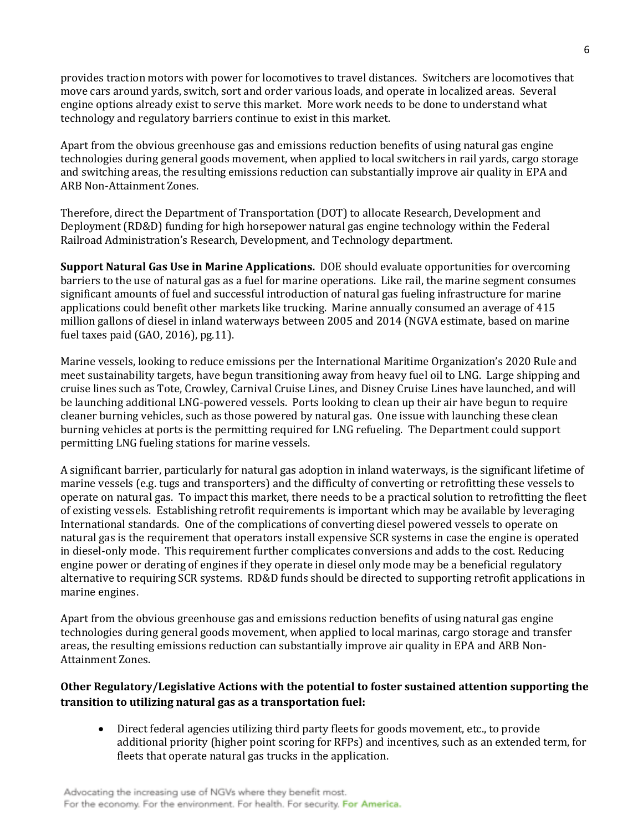provides traction motors with power for locomotives to travel distances. Switchers are locomotives that move cars around yards, switch, sort and order various loads, and operate in localized areas. Several engine options already exist to serve this market. More work needs to be done to understand what technology and regulatory barriers continue to exist in this market.

Apart from the obvious greenhouse gas and emissions reduction benefits of using natural gas engine technologies during general goods movement, when applied to local switchers in rail yards, cargo storage and switching areas, the resulting emissions reduction can substantially improve air quality in EPA and ARB Non-Attainment Zones.

Therefore, direct the Department of Transportation (DOT) to allocate Research, Development and Deployment (RD&D) funding for high horsepower natural gas engine technology within the Federal Railroad Administration's Research, Development, and Technology department.

**Support Natural Gas Use in Marine Applications.** DOE should evaluate opportunities for overcoming barriers to the use of natural gas as a fuel for marine operations. Like rail, the marine segment consumes significant amounts of fuel and successful introduction of natural gas fueling infrastructure for marine applications could benefit other markets like trucking. Marine annually consumed an average of 415 million gallons of diesel in inland waterways between 2005 and 2014 (NGVA estimate, based on marine fuel taxes paid (GAO, 2016), pg.11).

Marine vessels, looking to reduce emissions per the International Maritime Organization's 2020 Rule and meet sustainability targets, have begun transitioning away from heavy fuel oil to LNG. Large shipping and cruise lines such as Tote, Crowley, Carnival Cruise Lines, and Disney Cruise Lines have launched, and will be launching additional LNG-powered vessels. Ports looking to clean up their air have begun to require cleaner burning vehicles, such as those powered by natural gas. One issue with launching these clean burning vehicles at ports is the permitting required for LNG refueling. The Department could support permitting LNG fueling stations for marine vessels.

A significant barrier, particularly for natural gas adoption in inland waterways, is the significant lifetime of marine vessels (e.g. tugs and transporters) and the difficulty of converting or retrofitting these vessels to operate on natural gas. To impact this market, there needs to be a practical solution to retrofitting the fleet of existing vessels. Establishing retrofit requirements is important which may be available by leveraging International standards. One of the complications of converting diesel powered vessels to operate on natural gas is the requirement that operators install expensive SCR systems in case the engine is operated in diesel-only mode. This requirement further complicates conversions and adds to the cost. Reducing engine power or derating of engines if they operate in diesel only mode may be a beneficial regulatory alternative to requiring SCR systems. RD&D funds should be directed to supporting retrofit applications in marine engines.

Apart from the obvious greenhouse gas and emissions reduction benefits of using natural gas engine technologies during general goods movement, when applied to local marinas, cargo storage and transfer areas, the resulting emissions reduction can substantially improve air quality in EPA and ARB Non-Attainment Zones.

# **Other Regulatory/Legislative Actions with the potential to foster sustained attention supporting the transition to utilizing natural gas as a transportation fuel:**

• Direct federal agencies utilizing third party fleets for goods movement, etc., to provide additional priority (higher point scoring for RFPs) and incentives, such as an extended term, for fleets that operate natural gas trucks in the application.